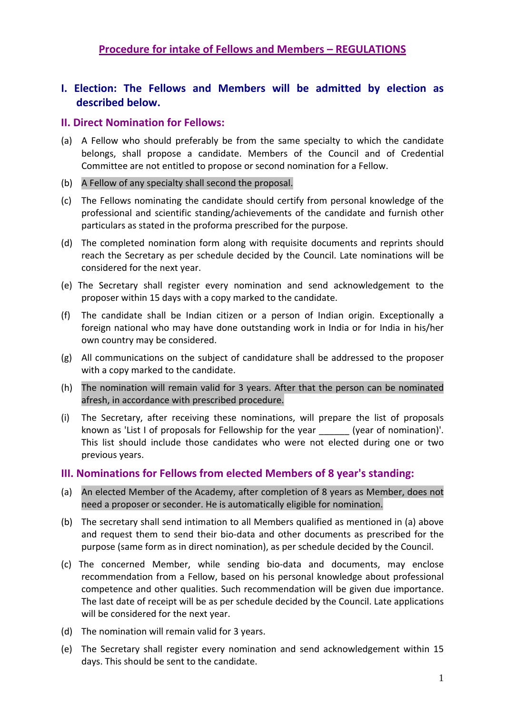### **Procedure for intake of Fellows and Members – REGULATIONS**

# **I. Election: The Fellows and Members will be admitted by election as described below.**

### **II. Direct Nomination for Fellows:**

- (a) A Fellow who should preferably be from the same specialty to which the candidate belongs, shall propose a candidate. Members of the Council and of Credential Committee are not entitled to propose or second nomination for a Fellow.
- (b) A Fellow of any specialty shall second the proposal.
- (c) The Fellows nominating the candidate should certify from personal knowledge of the professional and scientific standing/achievements of the candidate and furnish other particulars as stated in the proforma prescribed for the purpose.
- (d) The completed nomination form along with requisite documents and reprints should reach the Secretary as per schedule decided by the Council. Late nominations will be considered for the next year.
- (e) The Secretary shall register every nomination and send acknowledgement to the proposer within 15 days with a copy marked to the candidate.
- (f) The candidate shall be Indian citizen or a person of Indian origin. Exceptionally a foreign national who may have done outstanding work in India or for India in his/her own country may be considered.
- (g) All communications on the subject of candidature shall be addressed to the proposer with a copy marked to the candidate.
- (h) The nomination will remain valid for 3 years. After that the person can be nominated afresh, in accordance with prescribed procedure.
- (i) The Secretary, after receiving these nominations, will prepare the list of proposals known as 'List I of proposals for Fellowship for the year \_\_\_\_\_\_ (year of nomination)'. This list should include those candidates who were not elected during one or two previous years.

#### **III. Nominations for Fellows from elected Members of 8 year's standing:**

- (a) An elected Member of the Academy, after completion of 8 years as Member, does not need a proposer or seconder. He is automatically eligible for nomination.
- (b) The secretary shall send intimation to all Members qualified as mentioned in (a) above and request them to send their bio-data and other documents as prescribed for the purpose (same form as in direct nomination), as per schedule decided by the Council.
- (c) The concerned Member, while sending bio‐data and documents, may enclose recommendation from a Fellow, based on his personal knowledge about professional competence and other qualities. Such recommendation will be given due importance. The last date of receipt will be as per schedule decided by the Council. Late applications will be considered for the next year.
- (d) The nomination will remain valid for 3 years.
- (e) The Secretary shall register every nomination and send acknowledgement within 15 days. This should be sent to the candidate.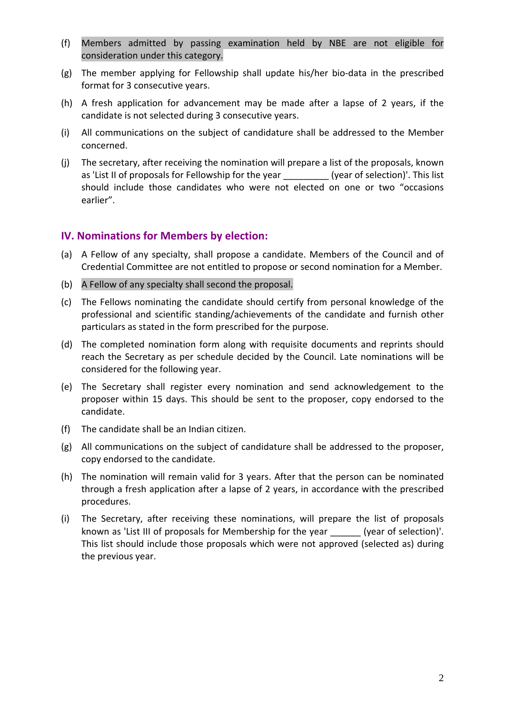- (f) Members admitted by passing examination held by NBE are not eligible for consideration under this category.
- (g) The member applying for Fellowship shall update his/her bio‐data in the prescribed format for 3 consecutive years.
- (h) A fresh application for advancement may be made after a lapse of 2 years, if the candidate is not selected during 3 consecutive years.
- (i) All communications on the subject of candidature shall be addressed to the Member concerned.
- (j) The secretary, after receiving the nomination will prepare a list of the proposals, known as 'List II of proposals for Fellowship for the year \_\_\_\_\_\_\_\_\_\_ (year of selection)'. This list should include those candidates who were not elected on one or two "occasions earlier".

#### **IV. Nominations for Members by election:**

- (a) A Fellow of any specialty, shall propose a candidate. Members of the Council and of Credential Committee are not entitled to propose or second nomination for a Member.
- (b) A Fellow of any specialty shall second the proposal.
- (c) The Fellows nominating the candidate should certify from personal knowledge of the professional and scientific standing/achievements of the candidate and furnish other particulars as stated in the form prescribed for the purpose.
- (d) The completed nomination form along with requisite documents and reprints should reach the Secretary as per schedule decided by the Council. Late nominations will be considered for the following year.
- (e) The Secretary shall register every nomination and send acknowledgement to the proposer within 15 days. This should be sent to the proposer, copy endorsed to the candidate.
- (f) The candidate shall be an Indian citizen.
- (g) All communications on the subject of candidature shall be addressed to the proposer, copy endorsed to the candidate.
- (h) The nomination will remain valid for 3 years. After that the person can be nominated through a fresh application after a lapse of 2 years, in accordance with the prescribed procedures.
- (i) The Secretary, after receiving these nominations, will prepare the list of proposals known as 'List III of proposals for Membership for the year \_\_\_\_\_\_ (year of selection)'. This list should include those proposals which were not approved (selected as) during the previous year.